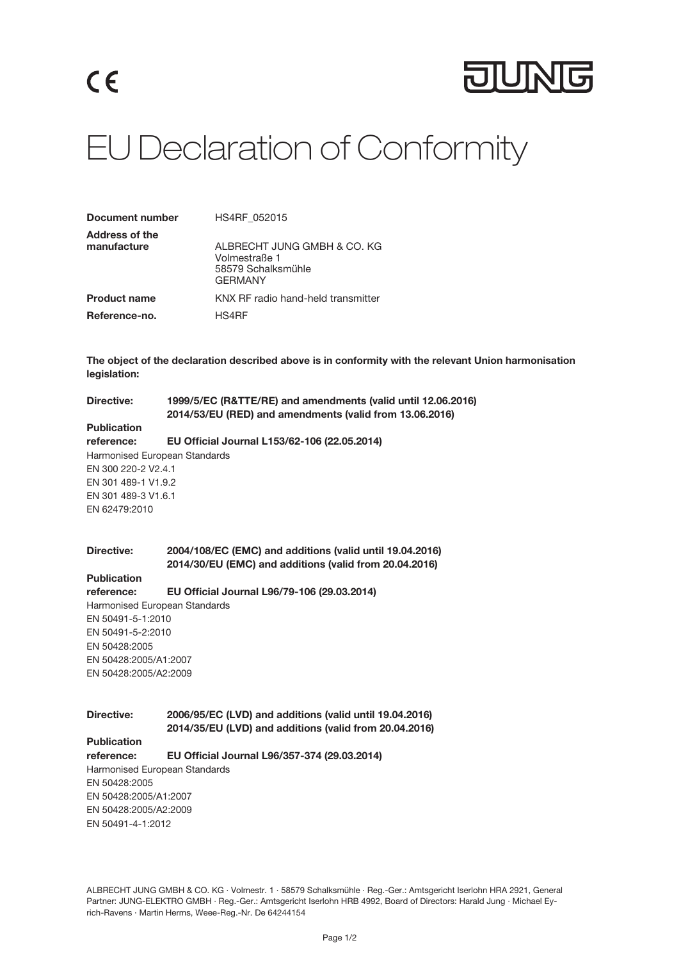

## EU Declaration of Conformity

| <b>Document number</b>               | HS4RF 052015                                                                  |
|--------------------------------------|-------------------------------------------------------------------------------|
| <b>Address of the</b><br>manufacture | ALBRECHT JUNG GMBH & CO. KG<br>Volmestraße 1<br>58579 Schalksmühle<br>GFRMANY |
| <b>Product name</b>                  | KNX RF radio hand-held transmitter                                            |
| Reference-no.                        | HS4RF                                                                         |

The object of the declaration described above is in conformity with the relevant Union harmonisation legislation:

Directive: 1999/5/EC (R&TTE/RE) and amendments (valid until 12.06.2016) 2014/53/EU (RED) and amendments (valid from 13.06.2016)

## **Publication**

reference: EU Official Journal L153/62-106 (22.05.2014) Harmonised European Standards EN 300 220-2 V2.4.1 EN 301 489-1 V1.9.2 EN 301 489-3 V1.6.1 EN 62479:2010

Directive: 2004/108/EC (EMC) and additions (valid until 19.04.2016) 2014/30/EU (EMC) and additions (valid from 20.04.2016)

**Publication** 

reference: EU Official Journal L96/79-106 (29.03.2014)

Harmonised European Standards EN 50491-5-1:2010 EN 50491-5-2:2010 EN 50428:2005 EN 50428:2005/A1:2007 EN 50428:2005/A2:2009

Directive: 2006/95/EC (LVD) and additions (valid until 19.04.2016) 2014/35/EU (LVD) and additions (valid from 20.04.2016)

Publication

reference: EU Official Journal L96/357-374 (29.03.2014)

Harmonised European Standards EN 50428:2005 EN 50428:2005/A1:2007 EN 50428:2005/A2:2009 EN 50491-4-1:2012

ALBRECHT JUNG GMBH & CO. KG · Volmestr. 1 · 58579 Schalksmühle · Reg.-Ger.: Amtsgericht Iserlohn HRA 2921, General Partner: JUNG-ELEKTRO GMBH · Reg.-Ger.: Amtsgericht Iserlohn HRB 4992, Board of Directors: Harald Jung · Michael Eyrich-Ravens · Martin Herms, Weee-Reg.-Nr. De 64244154